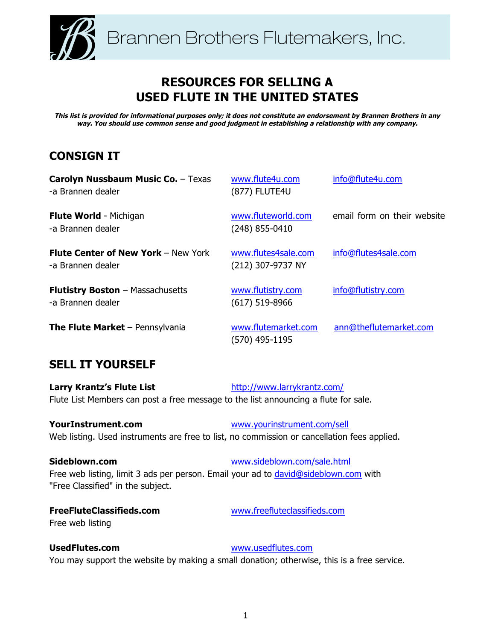

# **RESOURCES FOR SELLING A USED FLUTE IN THE UNITED STATES**

**This list is provided for informational purposes only; it does not constitute an endorsement by Brannen Brothers in any way. You should use common sense and good judgment in establishing a relationship with any company.**

# **CONSIGN IT**

| <b>Carolyn Nussbaum Music Co. - Texas</b><br>-a Brannen dealer  | www.flute4u.com<br>(877) FLUTE4U         | info@flute4u.com            |
|-----------------------------------------------------------------|------------------------------------------|-----------------------------|
| <b>Flute World - Michigan</b><br>-a Brannen dealer              | www.fluteworld.com<br>$(248)$ 855-0410   | email form on their website |
| <b>Flute Center of New York - New York</b><br>-a Brannen dealer | www.flutes4sale.com<br>(212) 307-9737 NY | info@flutes4sale.com        |
| <b>Flutistry Boston</b> - Massachusetts<br>-a Brannen dealer    | www.flutistry.com<br>$(617)$ 519-8966    | info@flutistry.com          |
| <b>The Flute Market</b> - Pennsylvania                          | www.flutemarket.com<br>(570) 495-1195    | ann@theflutemarket.com      |

## **SELL IT YOURSELF**

**Larry Krantz's Flute List** http://www.larrykrantz.com/ Flute List Members can post a free message to the list announcing a flute for sale.

**YourInstrument.com** www.yourinstrument.com/sell Web listing. Used instruments are free to list, no commission or cancellation fees applied.

**Sideblown.com** www.sideblown.com/sale.html Free web listing, limit 3 ads per person. Email your ad to david@sideblown.com with "Free Classified" in the subject.

# Free web listing

**FreeFluteClassifieds.com** www.freefluteclassifieds.com

**UsedFlutes.com** www.usedflutes.com You may support the website by making a small donation; otherwise, this is a free service.